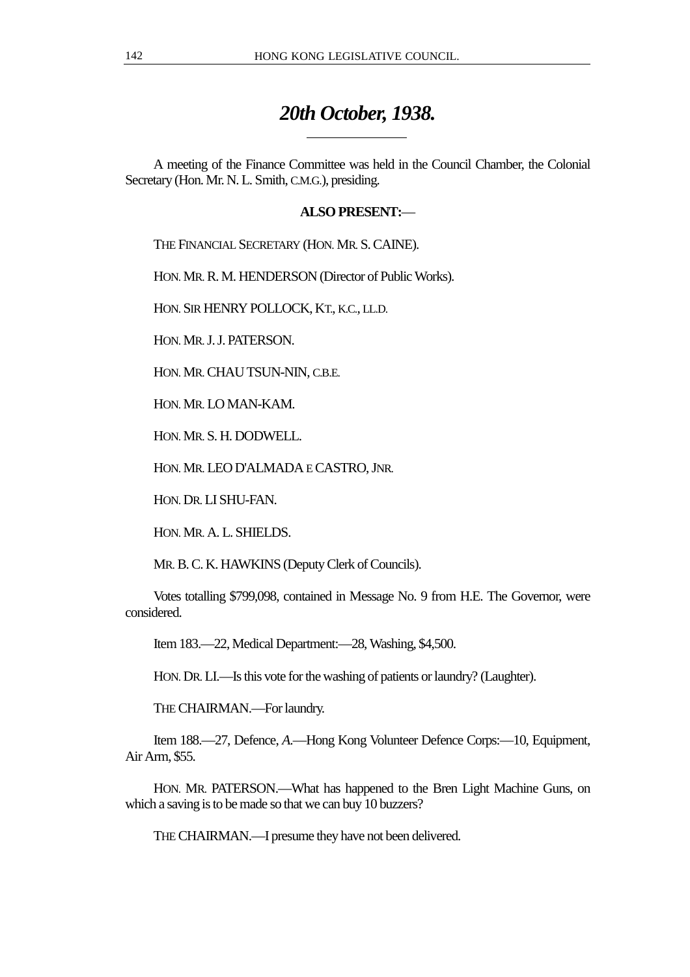## *20th October, 1938.*

A meeting of the Finance Committee was held in the Council Chamber, the Colonial Secretary (Hon. Mr. N. L. Smith, C.M.G.), presiding.

## **ALSO PRESENT:**—

THE FINANCIAL SECRETARY (HON. MR. S. CAINE).

HON. MR. R. M. HENDERSON (Director of Public Works).

 $\overline{a}$ 

HON. SIR HENRY POLLOCK, KT., K.C., LL.D.

HON. MR. J. J. PATERSON.

HON. MR. CHAU TSUN-NIN, C.B.E.

HON. MR. LO MAN-KAM.

HON. MR. S. H. DODWELL.

HON. MR. LEO D'ALMADA E CASTRO, JNR.

HON. DR. LI SHU-FAN.

HON. MR. A. L. SHIELDS.

MR. B. C. K. HAWKINS (Deputy Clerk of Councils).

Votes totalling \$799,098, contained in Message No. 9 from H.E. The Governor, were considered.

Item 183.—22, Medical Department:—28, Washing, \$4,500.

HON. DR. LI.—Is this vote for the washing of patients or laundry? (Laughter).

THE CHAIRMAN.—For laundry.

Item 188.—27, Defence, *A*.—Hong Kong Volunteer Defence Corps:—10, Equipment, Air Arm, \$55.

HON. MR. PATERSON.—What has happened to the Bren Light Machine Guns, on which a saving is to be made so that we can buy 10 buzzers?

THE CHAIRMAN.—I presume they have not been delivered.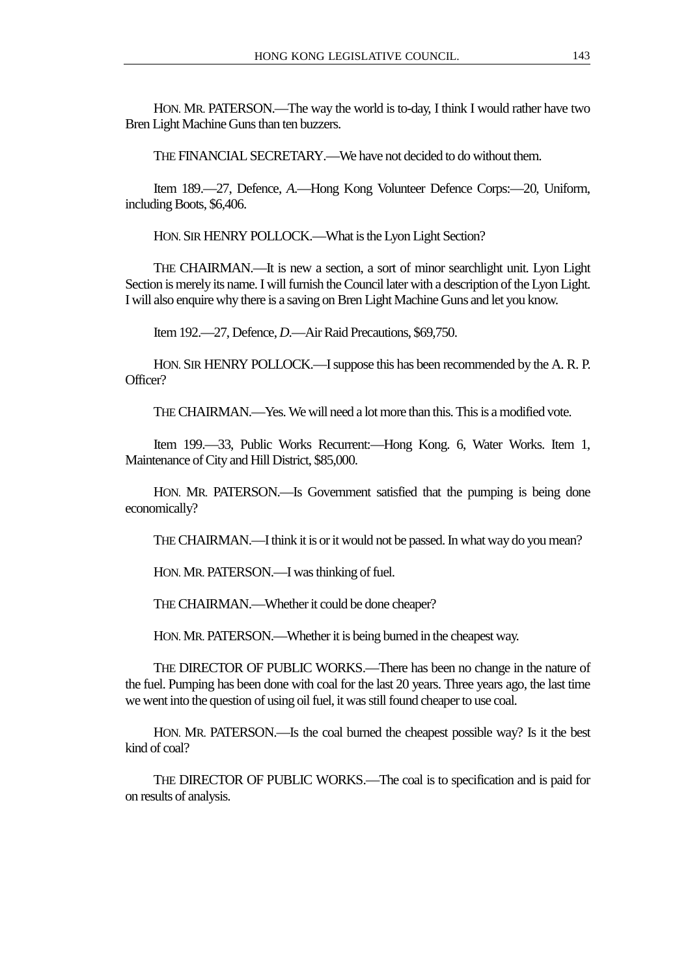HON. MR. PATERSON.—The way the world is to-day, I think I would rather have two Bren Light Machine Guns than ten buzzers.

THE FINANCIAL SECRETARY.—We have not decided to do without them.

Item 189.—27, Defence, *A*.—Hong Kong Volunteer Defence Corps:—20, Uniform, including Boots, \$6,406.

HON. SIR HENRY POLLOCK.—What is the Lyon Light Section?

THE CHAIRMAN.—It is new a section, a sort of minor searchlight unit. Lyon Light Section is merely its name. I will furnish the Council later with a description of the Lyon Light. I will also enquire why there is a saving on Bren Light Machine Guns and let you know.

Item 192.—27, Defence, *D*.—Air Raid Precautions, \$69,750.

HON. SIR HENRY POLLOCK.—I suppose this has been recommended by the A. R. P. Officer?

THE CHAIRMAN.—Yes. We will need a lot more than this. This is a modified vote.

Item 199.—33, Public Works Recurrent:—Hong Kong. 6, Water Works. Item 1, Maintenance of City and Hill District, \$85,000.

HON. MR. PATERSON.—Is Government satisfied that the pumping is being done economically?

THE CHAIRMAN.—I think it is or it would not be passed. In what way do you mean?

HON. MR. PATERSON.—I was thinking of fuel.

THE CHAIRMAN.—Whether it could be done cheaper?

HON. MR. PATERSON.—Whether it is being burned in the cheapest way.

THE DIRECTOR OF PUBLIC WORKS.—There has been no change in the nature of the fuel. Pumping has been done with coal for the last 20 years. Three years ago, the last time we went into the question of using oil fuel, it was still found cheaper to use coal.

HON. MR. PATERSON.—Is the coal burned the cheapest possible way? Is it the best kind of coal?

THE DIRECTOR OF PUBLIC WORKS.—The coal is to specification and is paid for on results of analysis.